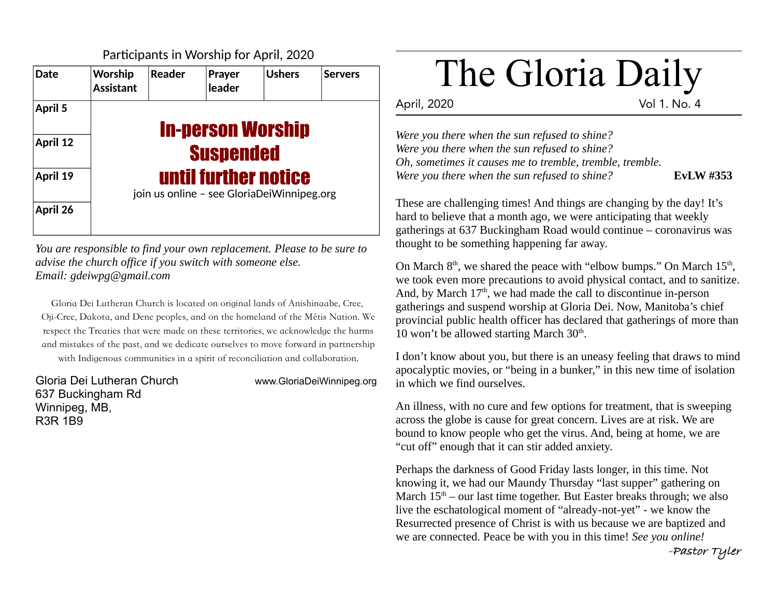| Date     | <b>Worship</b><br><b>Assistant</b> | Reader                                                             | <b>Prayer</b><br>leader | <b>Ushers</b> | <b>Servers</b> |  |
|----------|------------------------------------|--------------------------------------------------------------------|-------------------------|---------------|----------------|--|
| April 5  |                                    | <b>In-person Worship</b><br><b>Suspended</b>                       |                         |               |                |  |
| April 12 |                                    |                                                                    |                         |               |                |  |
| April 19 |                                    | until further notice<br>join us online - see GloriaDeiWinnipeg.org |                         |               |                |  |
| April 26 |                                    |                                                                    |                         |               |                |  |

Participants in Worship for April, 2020

*You are responsible to find your own replacement. Please to be sure to advise the church office if you switch with someone else. Email: gdeiwpg@gmail.com*

Gloria Dei Lutheran Church is located on original lands of Anishinaabe, Cree, Oji-Cree, Dakota, and Dene peoples, and on the homeland of the Métis Nation. We respect the Treaties that were made on these territories, we acknowledge the harms and mistakes of the past, and we dedicate ourselves to move forward in partnership with Indigenous communities in a spirit of reconciliation and collaboration.

Gloria Dei Lutheran Church www.GloriaDeiWinnipeg.org 637 Buckingham Rd Winnipeg, MB, R3R 1B9

# The Gloria Daily

April, 2020 Vol 1. No. 4

*Were you there when the sun refused to shine? Were you there when the sun refused to shine? Oh, sometimes it causes me to tremble, tremble, tremble. Were you there when the sun refused to shine?* **EvLW #353**

These are challenging times! And things are changing by the day! It's hard to believe that a month ago, we were anticipating that weekly gatherings at 637 Buckingham Road would continue – coronavirus was thought to be something happening far away.

On March  $8<sup>th</sup>$ , we shared the peace with "elbow bumps." On March  $15<sup>th</sup>$ , we took even more precautions to avoid physical contact, and to sanitize. And, by March  $17<sup>th</sup>$ , we had made the call to discontinue in-person gatherings and suspend worship at Gloria Dei. Now, Manitoba's chief provincial public health officer has declared that gatherings of more than 10 won't be allowed starting March  $30<sup>th</sup>$ .

I don't know about you, but there is an uneasy feeling that draws to mind apocalyptic movies, or "being in a bunker," in this new time of isolation in which we find ourselves.

An illness, with no cure and few options for treatment, that is sweeping across the globe is cause for great concern. Lives are at risk. We are bound to know people who get the virus. And, being at home, we are "cut off" enough that it can stir added anxiety.

Perhaps the darkness of Good Friday lasts longer, in this time. Not knowing it, we had our Maundy Thursday "last supper" gathering on March  $15<sup>th</sup>$  – our last time together. But Easter breaks through; we also live the eschatological moment of "already-not-yet" - we know the Resurrected presence of Christ is with us because we are baptized and we are connected. Peace be with you in this time! *See you online!*

**-Pastor Tyler**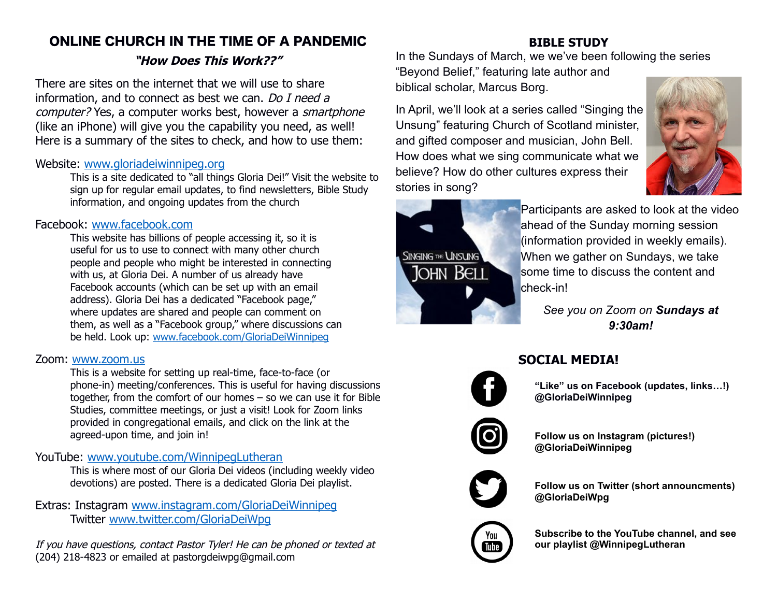# ONLINE CHURCH IN THE TIME OF A PANDEMIC

**"How Does This Work??"**

There are sites on the internet that we will use to share information, and to connect as best we can. Do I need a computer? Yes, a computer works best, however a smartphone (like an iPhone) will give you the capability you need, as well! Here is a summary of the sites to check, and how to use them:

# Website: [www.gloriadeiwinnipeg.org](http://www.gloriadeiwinnipeg.org/)

This is a site dedicated to "all things Gloria Dei!" Visit the website to sign up for regular email updates, to find newsletters, Bible Study information, and ongoing updates from the church

# Facebook: [www.facebook.com](http://www.facebook.com/)

This website has billions of people accessing it, so it is useful for us to use to connect with many other church people and people who might be interested in connecting with us, at Gloria Dei. A number of us already have Facebook accounts (which can be set up with an email address). Gloria Dei has a dedicated "Facebook page," where updates are shared and people can comment on them, as well as a "Facebook group," where discussions can be held. Look up: [www.facebook.com/GloriaDeiWinnipeg](http://www.facebook.com/GloriaDeiWinnipeg)

# Zoom: [www.zoom.us](http://www.zoom.us/)

This is a website for setting up real-time, face-to-face (or phone-in) meeting/conferences. This is useful for having discussions together, from the comfort of our homes – so we can use it for Bible Studies, committee meetings, or just a visit! Look for Zoom links provided in congregational emails, and click on the link at the agreed-upon time, and join in!

# YouTube: [www.youtube.com/WinnipegLutheran](http://www.youtube.com/WinnipegLutheran)

This is where most of our Gloria Dei videos (including weekly video devotions) are posted. There is a dedicated Gloria Dei playlist.

# Extras: Instagram [www.instagram.com/GloriaDeiWinnipeg](http://www.instagram.com/GloriaDeiWinnipeg) Twitter [www.twitter.com/GloriaDeiWpg](http://www.twitter.com/GloriaDeiWpg)

If you have questions, contact Pastor Tyler! He can be phoned or texted at (204) 218-4823 or emailed at pastorgdeiwpg@gmail.com

# **BIBLE STUDY**

In the Sundays of March, we we've been following the series "Beyond Belief," featuring late author and biblical scholar, Marcus Borg.

In April, we'll look at a series called "Singing the Unsung" featuring Church of Scotland minister, and gifted composer and musician, John Bell. How does what we sing communicate what we believe? How do other cultures express their stories in song?





Participants are asked to look at the video ahead of the Sunday morning session (information provided in weekly emails). When we gather on Sundays, we take some time to discuss the content and check-in!

> *See you on Zoom on Sundays at 9:30am!*



**SOCIAL MEDIA!**

**"Like" us on Facebook (updates, links…!) @GloriaDeiWinnipeg**





**Follow us on Twitter (short announcments) @GloriaDeiWpg**



**Subscribe to the YouTube channel, and see our playlist @WinnipegLutheran**